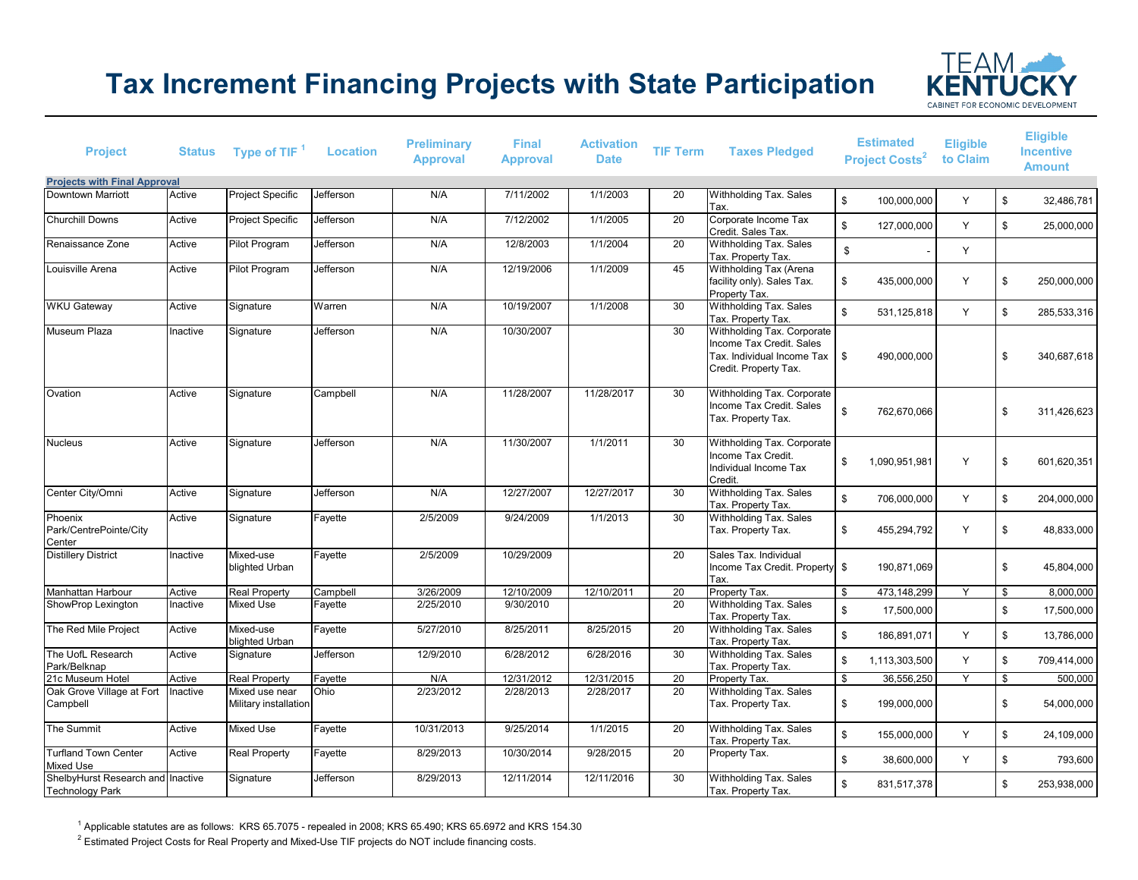## **Tax Increment Financing Projects with State Participation**



| <b>Project</b>                                              |          | Status Type of TIF <sup>1</sup>         | <b>Location</b> | <b>Preliminary</b><br><b>Approval</b> | <b>Final</b><br><b>Approval</b> | <b>Activation</b><br><b>Date</b> | <b>TIF Term</b> | <b>Taxes Pledged</b>                                                                                          | <b>Estimated</b><br><b>Project Costs<sup>2</sup></b> | <b>Eligible</b><br>to Claim |                         | <b>Eligible</b><br><b>Incentive</b><br><b>Amount</b> |
|-------------------------------------------------------------|----------|-----------------------------------------|-----------------|---------------------------------------|---------------------------------|----------------------------------|-----------------|---------------------------------------------------------------------------------------------------------------|------------------------------------------------------|-----------------------------|-------------------------|------------------------------------------------------|
| <b>Projects with Final Approval</b>                         |          |                                         |                 |                                       |                                 |                                  |                 |                                                                                                               |                                                      |                             |                         |                                                      |
| <b>Downtown Marriott</b>                                    | Active   | Project Specific                        | Jefferson       | N/A                                   | 7/11/2002                       | 1/1/2003                         | $\overline{20}$ | Withholding Tax. Sales<br>Tax.                                                                                | $\mathfrak s$<br>100.000.000                         | Y                           | \$                      | 32,486,781                                           |
| <b>Churchill Downs</b>                                      | Active   | <b>Project Specific</b>                 | Jefferson       | N/A                                   | 7/12/2002                       | 1/1/2005                         | 20              | Corporate Income Tax<br>Credit. Sales Tax.                                                                    | $\mathfrak s$<br>127,000,000                         | Y                           | \$                      | 25,000,000                                           |
| Renaissance Zone                                            | Active   | <b>Pilot Program</b>                    | Jefferson       | N/A                                   | 12/8/2003                       | 1/1/2004                         | 20              | Withholding Tax. Sales<br>Tax. Property Tax.                                                                  | $$\mathbb{S}$$                                       | Y                           |                         |                                                      |
| Louisville Arena                                            | Active   | Pilot Program                           | Jefferson       | N/A                                   | 12/19/2006                      | 1/1/2009                         | 45              | Withholding Tax (Arena<br>facility only). Sales Tax.<br>Property Tax.                                         | \$<br>435,000,000                                    | Υ                           | \$                      | 250,000,000                                          |
| <b>WKU Gateway</b>                                          | Active   | Signature                               | Warren          | N/A                                   | 10/19/2007                      | 1/1/2008                         | 30              | Withholding Tax. Sales<br>Tax. Property Tax.                                                                  | $\mathbb{S}$<br>531,125,818                          | Y                           | \$                      | 285,533,316                                          |
| Museum Plaza                                                | Inactive | Signature                               | Jefferson       | N/A                                   | 10/30/2007                      |                                  | 30              | Withholding Tax. Corporate<br>Income Tax Credit. Sales<br>Tax. Individual Income Tax<br>Credit. Property Tax. | \$<br>490,000,000                                    |                             | \$                      | 340,687,618                                          |
| Ovation                                                     | Active   | Signature                               | Campbell        | N/A                                   | 11/28/2007                      | 11/28/2017                       | 30              | Withholding Tax. Corporate<br>Income Tax Credit. Sales<br>Tax. Property Tax.                                  | \$<br>762,670,066                                    |                             | \$                      | 311,426,623                                          |
| <b>Nucleus</b>                                              | Active   | Signature                               | Jefferson       | N/A                                   | 11/30/2007                      | 1/1/2011                         | 30              | Withholding Tax. Corporate<br>Income Tax Credit.<br>Individual Income Tax<br>Credit.                          | \$<br>1.090.951.981                                  | Y                           | \$                      | 601,620,351                                          |
| Center City/Omni                                            | Active   | Signature                               | Jefferson       | N/A                                   | 12/27/2007                      | 12/27/2017                       | 30              | Withholding Tax. Sales<br>Tax. Property Tax.                                                                  | $\sqrt[6]{2}$<br>706,000,000                         | Y                           | \$                      | 204,000,000                                          |
| Phoenix<br>Park/CentrePointe/City<br>Center                 | Active   | Signature                               | Fayette         | 2/5/2009                              | 9/24/2009                       | 1/1/2013                         | 30              | Withholding Tax. Sales<br>Tax. Property Tax.                                                                  | \$<br>455,294,792                                    | Y                           | \$                      | 48,833,000                                           |
| <b>Distillery District</b>                                  | Inactive | Mixed-use<br>blighted Urban             | Fayette         | 2/5/2009                              | 10/29/2009                      |                                  | 20              | Sales Tax. Individual<br>Income Tax Credit. Property \$<br>Tax.                                               | 190.871.069                                          |                             | \$                      | 45,804,000                                           |
| Manhattan Harbour                                           | Active   | <b>Real Property</b>                    | Campbell        | 3/26/2009                             | 12/10/2009                      | 12/10/2011                       | $\overline{20}$ | Property Tax.                                                                                                 | 473,148,299<br>\$                                    | Y                           | $\overline{\mathbb{S}}$ | 8,000,000                                            |
| ShowProp Lexington                                          | Inactive | <b>Mixed Use</b>                        | Fayette         | 2/25/2010                             | 9/30/2010                       |                                  | 20              | Withholding Tax. Sales<br>Tax. Property Tax.                                                                  | $\mathfrak s$<br>17,500,000                          |                             | \$                      | 17,500,000                                           |
| The Red Mile Project                                        | Active   | Mixed-use<br>blighted Urban             | Fayette         | 5/27/2010                             | 8/25/2011                       | 8/25/2015                        | 20              | Withholding Tax. Sales<br>Tax. Property Tax.                                                                  | \$<br>186,891,071                                    | Y                           | \$                      | 13,786,000                                           |
| The UofL Research<br>Park/Belknap                           | Active   | Signature                               | Jefferson       | 12/9/2010                             | 6/28/2012                       | 6/28/2016                        | $\overline{30}$ | Withholding Tax. Sales<br>Tax. Property Tax.                                                                  | \$<br>1,113,303,500                                  | Y                           | \$                      | 709,414,000                                          |
| 21c Museum Hotel                                            | Active   | <b>Real Property</b>                    | Fayette         | N/A                                   | 12/31/2012                      | 12/31/2015                       | 20              | Property Tax.                                                                                                 | 36,556,250<br>\$                                     | Y                           | \$                      | 500,000                                              |
| Oak Grove Village at Fort<br>Campbell                       | nactive  | Mixed use near<br>Military installation | Ohio            | 2/23/2012                             | 2/28/2013                       | 2/28/2017                        | 20              | Withholding Tax. Sales<br>Tax. Property Tax.                                                                  | \$<br>199,000,000                                    |                             | \$                      | 54,000,000                                           |
| The Summit                                                  | Active   | Mixed Use                               | Fayette         | 10/31/2013                            | 9/25/2014                       | 1/1/2015                         | 20              | Withholding Tax. Sales<br>Tax. Property Tax.                                                                  | $\mathfrak s$<br>155,000,000                         | Y                           | \$                      | 24,109,000                                           |
| <b>Turfland Town Center</b><br>Mixed Use                    | Active   | <b>Real Property</b>                    | Fayette         | 8/29/2013                             | 10/30/2014                      | 9/28/2015                        | 20              | Property Tax.                                                                                                 | \$<br>38,600,000                                     | Y                           | \$                      | 793,600                                              |
| ShelbyHurst Research and Inactive<br><b>Technology Park</b> |          | Signature                               | Jefferson       | 8/29/2013                             | 12/11/2014                      | 12/11/2016                       | 30              | Withholding Tax. Sales<br>Tax. Property Tax.                                                                  | $\mathbb{S}$<br>831,517,378                          |                             | \$                      | 253,938,000                                          |

 $^1$  Applicable statutes are as follows: KRS 65.7075 - repealed in 2008; KRS 65.490; KRS 65.6972 and KRS 154.30

 $^{\rm 2}$  Estimated Project Costs for Real Property and Mixed-Use TIF projects do NOT include financing costs.